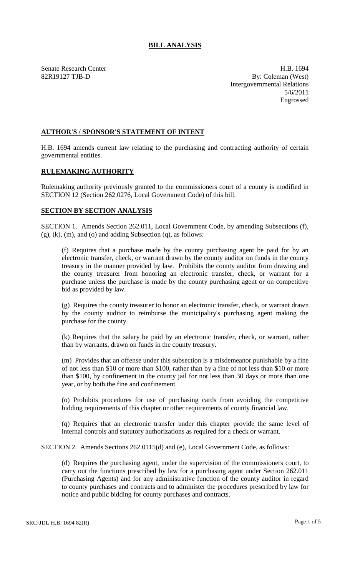## **BILL ANALYSIS**

Senate Research Center **H.B.** 1694 82R19127 TJB-D By: Coleman (West) Intergovernmental Relations 5/6/2011 Engrossed

## **AUTHOR'S / SPONSOR'S STATEMENT OF INTENT**

H.B. 1694 amends current law relating to the purchasing and contracting authority of certain governmental entities.

## **RULEMAKING AUTHORITY**

Rulemaking authority previously granted to the commissioners court of a county is modified in SECTION 12 (Section 262.0276, Local Government Code) of this bill.

## **SECTION BY SECTION ANALYSIS**

SECTION 1. Amends Section 262.011, Local Government Code, by amending Subsections (f),  $(g)$ ,  $(k)$ ,  $(m)$ , and  $(o)$  and adding Subsection  $(q)$ , as follows:

(f) Requires that a purchase made by the county purchasing agent be paid for by an electronic transfer, check, or warrant drawn by the county auditor on funds in the county treasury in the manner provided by law. Prohibits the county auditor from drawing and the county treasurer from honoring an electronic transfer, check, or warrant for a purchase unless the purchase is made by the county purchasing agent or on competitive bid as provided by law.

(g) Requires the county treasurer to honor an electronic transfer, check, or warrant drawn by the county auditor to reimburse the municipality's purchasing agent making the purchase for the county.

(k) Requires that the salary be paid by an electronic transfer, check, or warrant, rather than by warrants, drawn on funds in the county treasury.

(m) Provides that an offense under this subsection is a misdemeanor punishable by a fine of not less than \$10 or more than \$100, rather than by a fine of not less than \$10 or more than \$100, by confinement in the county jail for not less than 30 days or more than one year, or by both the fine and confinement.

(o) Prohibits procedures for use of purchasing cards from avoiding the competitive bidding requirements of this chapter or other requirements of county financial law.

(q) Requires that an electronic transfer under this chapter provide the same level of internal controls and statutory authorizations as required for a check or warrant.

SECTION 2. Amends Sections 262.0115(d) and (e), Local Government Code, as follows:

(d) Requires the purchasing agent, under the supervision of the commissioners court, to carry out the functions prescribed by law for a purchasing agent under Section 262.011 (Purchasing Agents) and for any administrative function of the county auditor in regard to county purchases and contracts and to administer the procedures prescribed by law for notice and public bidding for county purchases and contracts.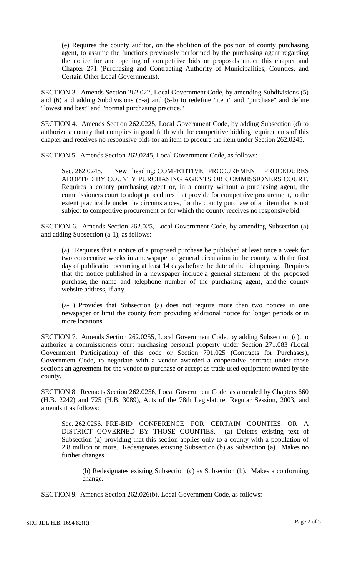(e) Requires the county auditor, on the abolition of the position of county purchasing agent, to assume the functions previously performed by the purchasing agent regarding the notice for and opening of competitive bids or proposals under this chapter and Chapter 271 (Purchasing and Contracting Authority of Municipalities, Counties, and Certain Other Local Governments).

SECTION 3. Amends Section 262.022, Local Government Code, by amending Subdivisions (5) and (6) and adding Subdivisions (5-a) and (5-b) to redefine "item" and "purchase" and define "lowest and best" and "normal purchasing practice."

SECTION 4. Amends Section 262.0225, Local Government Code, by adding Subsection (d) to authorize a county that complies in good faith with the competitive bidding requirements of this chapter and receives no responsive bids for an item to procure the item under Section 262.0245.

SECTION 5. Amends Section 262.0245, Local Government Code, as follows:

Sec. 262.0245. New heading: COMPETITIVE PROCUREMENT PROCEDURES ADOPTED BY COUNTY PURCHASING AGENTS OR COMMISSIONERS COURT. Requires a county purchasing agent or, in a county without a purchasing agent, the commissioners court to adopt procedures that provide for competitive procurement, to the extent practicable under the circumstances, for the county purchase of an item that is not subject to competitive procurement or for which the county receives no responsive bid.

SECTION 6. Amends Section 262.025, Local Government Code, by amending Subsection (a) and adding Subsection (a-1), as follows:

(a) Requires that a notice of a proposed purchase be published at least once a week for two consecutive weeks in a newspaper of general circulation in the county, with the first day of publication occurring at least 14 days before the date of the bid opening. Requires that the notice published in a newspaper include a general statement of the proposed purchase, the name and telephone number of the purchasing agent, and the county website address, if any.

(a-1) Provides that Subsection (a) does not require more than two notices in one newspaper or limit the county from providing additional notice for longer periods or in more locations.

SECTION 7. Amends Section 262.0255, Local Government Code, by adding Subsection (c), to authorize a commissioners court purchasing personal property under Section 271.083 (Local Government Participation) of this code or Section 791.025 (Contracts for Purchases), Government Code, to negotiate with a vendor awarded a cooperative contract under those sections an agreement for the vendor to purchase or accept as trade used equipment owned by the county.

SECTION 8. Reenacts Section 262.0256, Local Government Code, as amended by Chapters 660 (H.B. 2242) and 725 (H.B. 3089), Acts of the 78th Legislature, Regular Session, 2003, and amends it as follows:

Sec. 262.0256. PRE-BID CONFERENCE FOR CERTAIN COUNTIES OR A DISTRICT GOVERNED BY THOSE COUNTIES. (a) Deletes existing text of Subsection (a) providing that this section applies only to a county with a population of 2.8 million or more. Redesignates existing Subsection (b) as Subsection (a). Makes no further changes.

(b) Redesignates existing Subsection (c) as Subsection (b). Makes a conforming change.

SECTION 9. Amends Section 262.026(b), Local Government Code, as follows: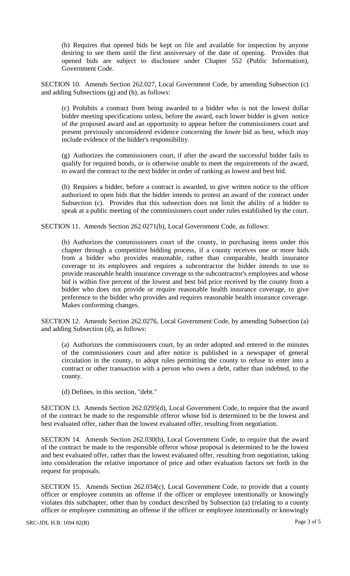(b) Requires that opened bids be kept on file and available for inspection by anyone desiring to see them until the first anniversary of the date of opening. Provides that opened bids are subject to disclosure under Chapter 552 (Public Information), Government Code.

SECTION 10. Amends Section 262.027, Local Government Code, by amending Subsection (c) and adding Subsections (g) and (h), as follows:

(c) Prohibits a contract from being awarded to a bidder who is not the lowest dollar bidder meeting specifications unless, before the award, each lower bidder is given notice of the proposed award and an opportunity to appear before the commissioners court and present previously unconsidered evidence concerning the lower bid as best, which may include evidence of the bidder's responsibility.

(g) Authorizes the commissioners court, if after the award the successful bidder fails to qualify for required bonds, or is otherwise unable to meet the requirements of the award, to award the contract to the next bidder in order of ranking as lowest and best bid.

(h) Requires a bidder, before a contract is awarded, to give written notice to the officer authorized to open bids that the bidder intends to protest an award of the contract under Subsection (c). Provides that this subsection does not limit the ability of a bidder to speak at a public meeting of the commissioners court under rules established by the court.

SECTION 11. Amends Section 262.0271(b), Local Government Code, as follows:

(b) Authorizes the commissioners court of the county, in purchasing items under this chapter through a competitive bidding process, if a county receives one or more bids from a bidder who provides reasonable, rather than comparable, health insurance coverage to its employees and requires a subcontractor the bidder intends to use to provide reasonable health insurance coverage to the subcontractor's employees and whose bid is within five percent of the lowest and best bid price received by the county from a bidder who does not provide or require reasonable health insurance coverage, to give preference to the bidder who provides and requires reasonable health insurance coverage. Makes conforming changes.

SECTION 12. Amends Section 262.0276, Local Government Code, by amending Subsection (a) and adding Subsection (d), as follows:

(a) Authorizes the commissioners court, by an order adopted and entered in the minutes of the commissioners court and after notice is published in a newspaper of general circulation in the county, to adopt rules permitting the county to refuse to enter into a contract or other transaction with a person who owes a debt, rather than indebted, to the county.

(d) Defines, in this section, "debt."

SECTION 13. Amends Section 262.0295(d), Local Government Code, to require that the award of the contract be made to the responsible offeror whose bid is determined to be the lowest and best evaluated offer, rather than the lowest evaluated offer, resulting from negotiation.

SECTION 14. Amends Section 262.030(b), Local Government Code, to require that the award of the contract be made to the responsible offeror whose proposal is determined to be the lowest and best evaluated offer, rather than the lowest evaluated offer, resulting from negotiation, taking into consideration the relative importance of price and other evaluation factors set forth in the request for proposals.

SECTION 15. Amends Section 262.034(c), Local Government Code, to provide that a county officer or employee commits an offense if the officer or employee intentionally or knowingly violates this subchapter, other than by conduct described by Subsection (a) (relating to a county officer or employee committing an offense if the officer or employee intentionally or knowingly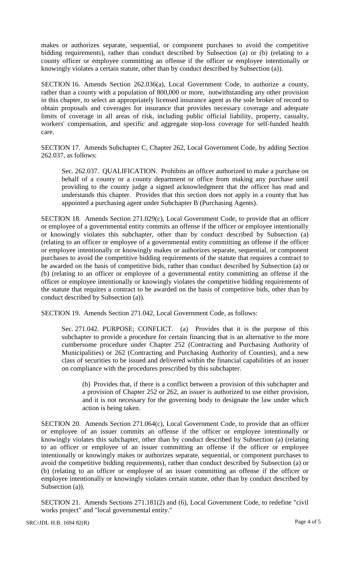makes or authorizes separate, sequential, or component purchases to avoid the competitive bidding requirements), rather than conduct described by Subsection (a) or (b) (relating to a county officer or employee committing an offense if the officer or employee intentionally or knowingly violates a certain statute, other than by conduct described by Subsection (a)).

SECTION 16. Amends Section 262.036(a), Local Government Code, to authorize a county, rather than a county with a population of 800,000 or more, notwithstanding any other provision in this chapter, to select an appropriately licensed insurance agent as the sole broker of record to obtain proposals and coverages for insurance that provides necessary coverage and adequate limits of coverage in all areas of risk, including public official liability, property, casualty, workers' compensation, and specific and aggregate stop-loss coverage for self-funded health care.

SECTION 17. Amends Subchapter C, Chapter 262, Local Government Code, by adding Section 262.037, as follows:

Sec. 262.037. QUALIFICATION. Prohibits an officer authorized to make a purchase on behalf of a county or a county department or office from making any purchase until providing to the county judge a signed acknowledgment that the officer has read and understands this chapter. Provides that this section does not apply in a county that has appointed a purchasing agent under Subchapter B (Purchasing Agents).

SECTION 18. Amends Section 271.029(c), Local Government Code, to provide that an officer or employee of a governmental entity commits an offense if the officer or employee intentionally or knowingly violates this subchapter, other than by conduct described by Subsection (a) (relating to an officer or employee of a governmental entity committing an offense if the officer or employee intentionally or knowingly makes or authorizes separate, sequential, or component purchases to avoid the competitive bidding requirements of the statute that requires a contract to be awarded on the basis of competitive bids, rather than conduct described by Subsection (a) or (b) (relating to an officer or employee of a governmental entity committing an offense if the officer or employee intentionally or knowingly violates the competitive bidding requirements of the statute that requires a contract to be awarded on the basis of competitive bids, other than by conduct described by Subsection (a)).

SECTION 19. Amends Section 271.042, Local Government Code, as follows:

Sec. 271.042. PURPOSE; CONFLICT. (a) Provides that it is the purpose of this subchapter to provide a procedure for certain financing that is an alternative to the more cumbersome procedure under Chapter 252 (Contracting and Purchasing Authority of Municipalities) or 262 (Contracting and Purchasing Authority of Counties), and a new class of securities to be issued and delivered within the financial capabilities of an issuer on compliance with the procedures prescribed by this subchapter.

(b) Provides that, if there is a conflict between a provision of this subchapter and a provision of Chapter 252 or 262, an issuer is authorized to use either provision, and it is not necessary for the governing body to designate the law under which action is being taken.

SECTION 20. Amends Section 271.064(c), Local Government Code, to provide that an officer or employee of an issuer commits an offense if the officer or employee intentionally or knowingly violates this subchapter, other than by conduct described by Subsection (a) (relating to an officer or employee of an issuer committing an offense if the officer or employee intentionally or knowingly makes or authorizes separate, sequential, or component purchases to avoid the competitive bidding requirements), rather than conduct described by Subsection (a) or (b) (relating to an officer or employee of an issuer committing an offense if the officer or employee intentionally or knowingly violates certain statute, other than by conduct described by Subsection (a)).

SECTION 21. Amends Sections 271.181(2) and (6), Local Government Code, to redefine "civil works project" and "local governmental entity."